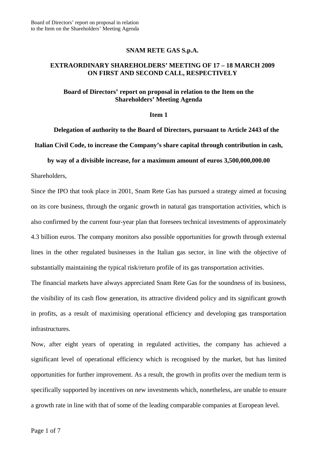## **SNAM RETE GAS S.p.A.**

# **EXTRAORDINARY SHAREHOLDERS' MEETING OF 17 – 18 MARCH 2009 ON FIRST AND SECOND CALL, RESPECTIVELY**

## **Board of Directors' report on proposal in relation to the Item on the Shareholders' Meeting Agenda**

#### **Item 1**

**Delegation of authority to the Board of Directors, pursuant to Article 2443 of the** 

**Italian Civil Code, to increase the Company's share capital through contribution in cash,** 

**by way of a divisible increase, for a maximum amount of euros 3,500,000,000.00** 

Shareholders,

Since the IPO that took place in 2001, Snam Rete Gas has pursued a strategy aimed at focusing on its core business, through the organic growth in natural gas transportation activities, which is also confirmed by the current four-year plan that foresees technical investments of approximately 4.3 billion euros. The company monitors also possible opportunities for growth through external lines in the other regulated businesses in the Italian gas sector, in line with the objective of substantially maintaining the typical risk/return profile of its gas transportation activities.

The financial markets have always appreciated Snam Rete Gas for the soundness of its business, the visibility of its cash flow generation, its attractive dividend policy and its significant growth in profits, as a result of maximising operational efficiency and developing gas transportation infrastructures.

Now, after eight years of operating in regulated activities, the company has achieved a significant level of operational efficiency which is recognised by the market, but has limited opportunities for further improvement. As a result, the growth in profits over the medium term is specifically supported by incentives on new investments which, nonetheless, are unable to ensure a growth rate in line with that of some of the leading comparable companies at European level.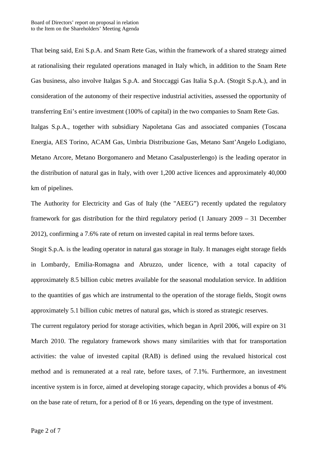That being said, Eni S.p.A. and Snam Rete Gas, within the framework of a shared strategy aimed at rationalising their regulated operations managed in Italy which, in addition to the Snam Rete Gas business, also involve Italgas S.p.A. and Stoccaggi Gas Italia S.p.A. (Stogit S.p.A.), and in consideration of the autonomy of their respective industrial activities, assessed the opportunity of transferring Eni's entire investment (100% of capital) in the two companies to Snam Rete Gas. Italgas S.p.A., together with subsidiary Napoletana Gas and associated companies (Toscana Energia, AES Torino, ACAM Gas, Umbria Distribuzione Gas, Metano Sant'Angelo Lodigiano, Metano Arcore, Metano Borgomanero and Metano Casalpusterlengo) is the leading operator in the distribution of natural gas in Italy, with over 1,200 active licences and approximately 40,000 km of pipelines.

The Authority for Electricity and Gas of Italy (the "AEEG") recently updated the regulatory framework for gas distribution for the third regulatory period (1 January 2009 – 31 December 2012), confirming a 7.6% rate of return on invested capital in real terms before taxes.

Stogit S.p.A. is the leading operator in natural gas storage in Italy. It manages eight storage fields in Lombardy, Emilia-Romagna and Abruzzo, under licence, with a total capacity of approximately 8.5 billion cubic metres available for the seasonal modulation service. In addition to the quantities of gas which are instrumental to the operation of the storage fields, Stogit owns approximately 5.1 billion cubic metres of natural gas, which is stored as strategic reserves.

The current regulatory period for storage activities, which began in April 2006, will expire on 31 March 2010. The regulatory framework shows many similarities with that for transportation activities: the value of invested capital (RAB) is defined using the revalued historical cost method and is remunerated at a real rate, before taxes, of 7.1%. Furthermore, an investment incentive system is in force, aimed at developing storage capacity, which provides a bonus of 4% on the base rate of return, for a period of 8 or 16 years, depending on the type of investment.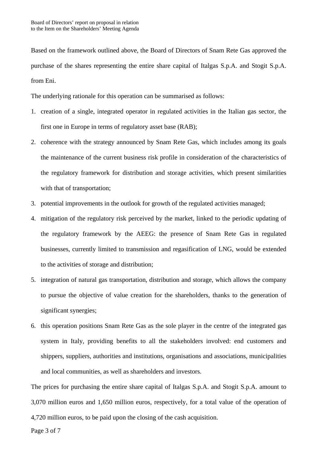Based on the framework outlined above, the Board of Directors of Snam Rete Gas approved the purchase of the shares representing the entire share capital of Italgas S.p.A. and Stogit S.p.A. from Eni.

The underlying rationale for this operation can be summarised as follows:

- 1. creation of a single, integrated operator in regulated activities in the Italian gas sector, the first one in Europe in terms of regulatory asset base (RAB);
- 2. coherence with the strategy announced by Snam Rete Gas, which includes among its goals the maintenance of the current business risk profile in consideration of the characteristics of the regulatory framework for distribution and storage activities, which present similarities with that of transportation;
- 3. potential improvements in the outlook for growth of the regulated activities managed;
- 4. mitigation of the regulatory risk perceived by the market, linked to the periodic updating of the regulatory framework by the AEEG: the presence of Snam Rete Gas in regulated businesses, currently limited to transmission and regasification of LNG, would be extended to the activities of storage and distribution;
- 5. integration of natural gas transportation, distribution and storage, which allows the company to pursue the objective of value creation for the shareholders, thanks to the generation of significant synergies;
- 6. this operation positions Snam Rete Gas as the sole player in the centre of the integrated gas system in Italy, providing benefits to all the stakeholders involved: end customers and shippers, suppliers, authorities and institutions, organisations and associations, municipalities and local communities, as well as shareholders and investors.

The prices for purchasing the entire share capital of Italgas S.p.A. and Stogit S.p.A. amount to 3,070 million euros and 1,650 million euros, respectively, for a total value of the operation of 4,720 million euros, to be paid upon the closing of the cash acquisition.

Page 3 of 7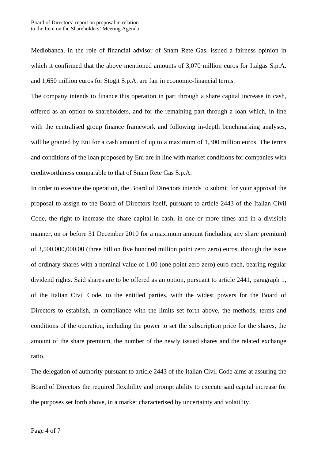Mediobanca, in the role of financial advisor of Snam Rete Gas, issued a fairness opinion in which it confirmed that the above mentioned amounts of 3,070 million euros for Italgas S.p.A. and 1,650 million euros for Stogit S.p.A. are fair in economic-financial terms.

The company intends to finance this operation in part through a share capital increase in cash, offered as an option to shareholders, and for the remaining part through a loan which, in line with the centralised group finance framework and following in-depth benchmarking analyses, will be granted by Eni for a cash amount of up to a maximum of 1,300 million euros. The terms and conditions of the loan proposed by Eni are in line with market conditions for companies with creditworthiness comparable to that of Snam Rete Gas S.p.A.

In order to execute the operation, the Board of Directors intends to submit for your approval the proposal to assign to the Board of Directors itself, pursuant to article 2443 of the Italian Civil Code, the right to increase the share capital in cash, in one or more times and in a divisible manner, on or before 31 December 2010 for a maximum amount (including any share premium) of 3,500,000,000.00 (three billion five hundred million point zero zero) euros, through the issue of ordinary shares with a nominal value of 1.00 (one point zero zero) euro each, bearing regular dividend rights. Said shares are to be offered as an option, pursuant to article 2441, paragraph 1, of the Italian Civil Code, to the entitled parties, with the widest powers for the Board of Directors to establish, in compliance with the limits set forth above, the methods, terms and conditions of the operation, including the power to set the subscription price for the shares, the amount of the share premium, the number of the newly issued shares and the related exchange ratio.

The delegation of authority pursuant to article 2443 of the Italian Civil Code aims at assuring the Board of Directors the required flexibility and prompt ability to execute said capital increase for the purposes set forth above, in a market characterised by uncertainty and volatility.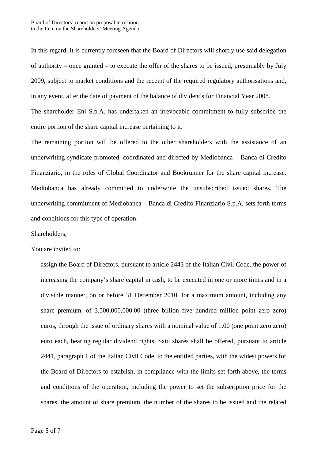In this regard, it is currently foreseen that the Board of Directors will shortly use said delegation of authority – once granted – to execute the offer of the shares to be issued, presumably by July 2009, subject to market conditions and the receipt of the required regulatory authorisations and, in any event, after the date of payment of the balance of dividends for Financial Year 2008.

The shareholder Eni S.p.A. has undertaken an irrevocable commitment to fully subscribe the entire portion of the share capital increase pertaining to it.

The remaining portion will be offered to the other shareholders with the assistance of an underwriting syndicate promoted, coordinated and directed by Mediobanca – Banca di Credito Finanziario, in the roles of Global Coordinator and Bookrunner for the share capital increase. Mediobanca has already committed to underwrite the unsubscribed issued shares. The underwriting commitment of Mediobanca – Banca di Credito Finanziario S.p.A. sets forth terms and conditions for this type of operation.

# Shareholders,

You are invited to:

assign the Board of Directors, pursuant to article 2443 of the Italian Civil Code, the power of increasing the company's share capital in cash, to be executed in one or more times and in a divisible manner, on or before 31 December 2010, for a maximum amount, including any share premium, of 3,500,000,000.00 (three billion five hundred million point zero zero) euros, through the issue of ordinary shares with a nominal value of 1.00 (one point zero zero) euro each, bearing regular dividend rights. Said shares shall be offered, pursuant to article 2441, paragraph 1 of the Italian Civil Code, to the entitled parties, with the widest powers for the Board of Directors to establish, in compliance with the limits set forth above, the terms and conditions of the operation, including the power to set the subscription price for the shares, the amount of share premium, the number of the shares to be issued and the related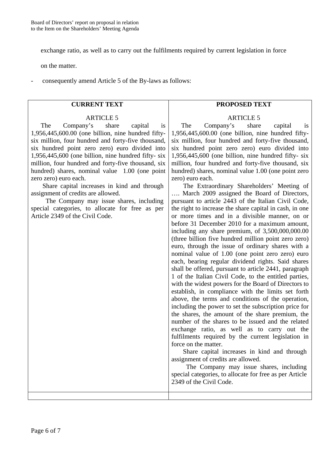exchange ratio, as well as to carry out the fulfilments required by current legislation in force

on the matter.

- consequently amend Article 5 of the By-laws as follows:

# **CURRENT TEXT**

## ARTICLE<sub>5</sub>

The Company's share capital is 1,956,445,600.00 (one billion, nine hundred fiftysix million, four hundred and forty-five thousand, six hundred point zero zero) euro divided into 1,956,445,600 (one billion, nine hundred fifty- six million, four hundred and forty-five thousand, six hundred) shares, nominal value 1.00 (one point zero zero) euro each.

Share capital increases in kind and through assignment of credits are allowed.

The Company may issue shares, including special categories, to allocate for free as per Article 2349 of the Civil Code.

# **PROPOSED TEXT**

## ARTICLE<sub>5</sub>

 The Company's share capital is 1,956,445,600.00 (one billion, nine hundred fiftysix million, four hundred and forty-five thousand, six hundred point zero zero) euro divided into 1,956,445,600 (one billion, nine hundred fifty- six million, four hundred and forty-five thousand, six hundred) shares, nominal value 1.00 (one point zero zero) euro each.

The Extraordinary Shareholders' Meeting of …. March 2009 assigned the Board of Directors, pursuant to article 2443 of the Italian Civil Code, the right to increase the share capital in cash, in one or more times and in a divisible manner, on or before 31 December 2010 for a maximum amount, including any share premium, of 3,500,000,000.00 (three billion five hundred million point zero zero) euro, through the issue of ordinary shares with a nominal value of 1.00 (one point zero zero) euro each, bearing regular dividend rights. Said shares shall be offered, pursuant to article 2441, paragraph 1 of the Italian Civil Code, to the entitled parties, with the widest powers for the Board of Directors to establish, in compliance with the limits set forth above, the terms and conditions of the operation, including the power to set the subscription price for the shares, the amount of the share premium, the number of the shares to be issued and the related exchange ratio, as well as to carry out the fulfilments required by the current legislation in force on the matter.

Share capital increases in kind and through assignment of credits are allowed.

The Company may issue shares, including special categories, to allocate for free as per Article 2349 of the Civil Code.